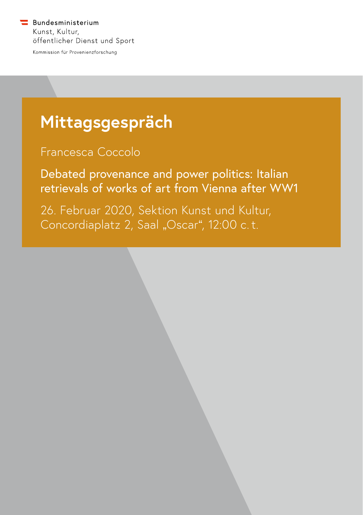Bundesministerium Kunst, Kultur, öffentlicher Dienst und Sport

Kommission für Provenienzforschung

# **Mittagsgespräch**

Francesca Coccolo

Debated provenance and power politics: Italian retrievals of works of art from Vienna after WW1

26. Februar 2020, Sektion Kunst und Kultur, Concordiaplatz 2, Saal "Oscar", 12:00 c.t.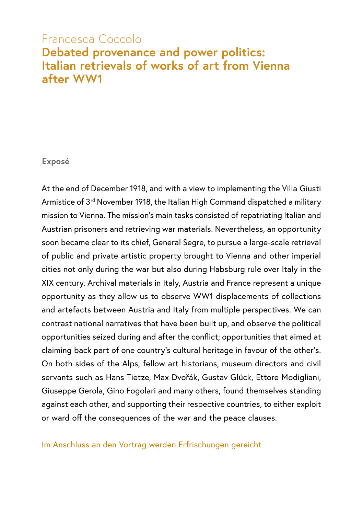# Francesca Coccolo **Debated provenance and power politics: Italian retrievals of works of art from Vienna after WW1**

## **Exposé**

At the end of December 1918, and with a view to implementing the Villa Giusti Armistice of 3<sup>rd</sup> November 1918, the Italian High Command dispatched a military mission to Vienna. The mission's main tasks consisted of repatriating Italian and Austrian prisoners and retrieving war materials. Nevertheless, an opportunity soon became clear to its chief, General Segre, to pursue a large-scale retrieval of public and private artistic property brought to Vienna and other imperial cities not only during the war but also during Habsburg rule over Italy in the XIX century. Archival materials in Italy, Austria and France represent a unique opportunity as they allow us to observe WW1 displacements of collections and artefacts between Austria and Italy from multiple perspectives. We can contrast national narratives that have been built up, and observe the political opportunities seized during and after the conflict; opportunities that aimed at claiming back part of one country's cultural heritage in favour of the other's. On both sides of the Alps, fellow art historians, museum directors and civil servants such as Hans Tietze, Max Dvořák, Gustav Glück, Ettore Modigliani, Giuseppe Gerola, Gino Fogolari and many others, found themselves standing against each other, and supporting their respective countries, to either exploit or ward off the consequences of the war and the peace clauses.

Im Anschluss an den Vortrag werden Erfrischungen gereicht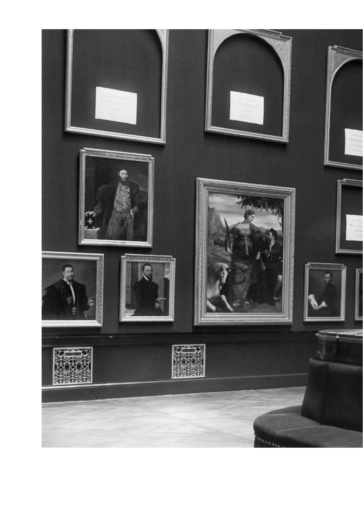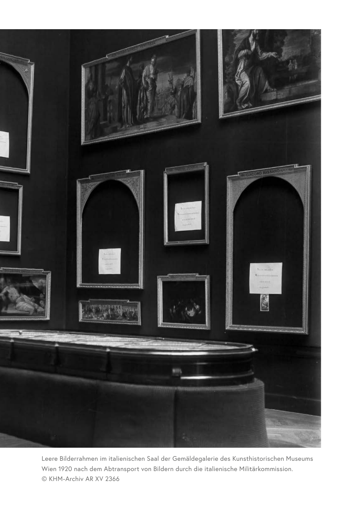

Leere Bilderrahmen im italienischen Saal der Gemäldegalerie des Kunsthistorischen Museums Wien 1920 nach dem Abtransport von Bildern durch die italienische Militärkommission. © KHM-Archiv AR XV 2366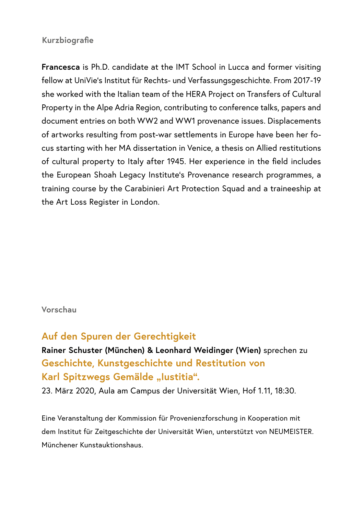## **Kurzbiografie**

**Francesca** is Ph.D. candidate at the IMT School in Lucca and former visiting fellow at UniVie's Institut für Rechts- und Verfassungsgeschichte. From 2017-19 she worked with the Italian team of the HERA Project on Transfers of Cultural Property in the Alpe Adria Region, contributing to conference talks, papers and document entries on both WW2 and WW1 provenance issues. Displacements of artworks resulting from post-war settlements in Europe have been her focus starting with her MA dissertation in Venice, a thesis on Allied restitutions of cultural property to Italy after 1945. Her experience in the field includes the European Shoah Legacy Institute's Provenance research programmes, a training course by the Carabinieri Art Protection Squad and a traineeship at the Art Loss Register in London.

#### **Vorschau**

# **Auf den Spuren der Gerechtigkeit Rainer Schuster (München) & Leonhard Weidinger (Wien)** sprechen zu **Geschichte, Kunstgeschichte und Restitution von**  Karl Spitzwegs Gemälde "Iustitia".

23. März 2020, Aula am Campus der Universität Wien, Hof 1.11, 18:30.

Eine Veranstaltung der Kommission für Provenienzforschung in Kooperation mit dem Institut für Zeitgeschichte der Universität Wien, unterstützt von NEUMEISTER. Münchener Kunstauktionshaus.